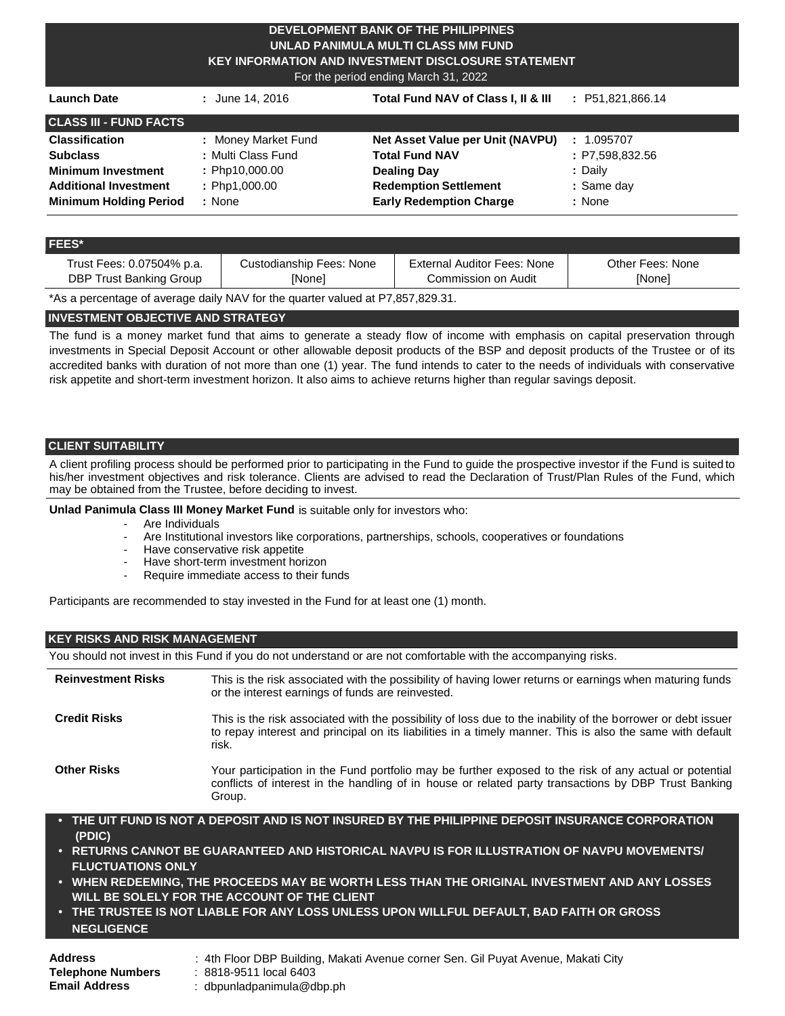#### **DEVELOPMENT BANK OF THE PHILIPPINES UNLAD PANIMULA MULTI CLASS MM FUND KEY INFORMATION AND INVESTMENT DISCLOSURE STATEMENT**

For the period ending March 31, 2022

| <b>Launch Date</b>            | : June 14, 2016     | Total Fund NAV of Class I, II & III | : P51,821,866.14                      |
|-------------------------------|---------------------|-------------------------------------|---------------------------------------|
| <b>CLASS III - FUND FACTS</b> |                     |                                     |                                       |
| <b>Classification</b>         | : Money Market Fund | Net Asset Value per Unit (NAVPU)    | 1.095707<br>$\mathbb{Z}^{\mathbb{Z}}$ |
| <b>Subclass</b>               | : Multi Class Fund  | <b>Total Fund NAV</b>               | : P7,598,832.56                       |
| <b>Minimum Investment</b>     | : Php10,000.00      | <b>Dealing Day</b>                  | : Daily                               |
| <b>Additional Investment</b>  | : Php1,000.00       | <b>Redemption Settlement</b>        | : Same day                            |
| <b>Minimum Holding Period</b> | : None              | <b>Early Redemption Charge</b>      | : None                                |

#### **FEES\***

| Trust Fees: 0.07504% p.a. | Custodianship Fees: None | External Auditor Fees: None | Other Fees: None |
|---------------------------|--------------------------|-----------------------------|------------------|
| DBP Trust Banking Group   | <b>[None]</b>            | Commission on Audit         | [None]           |

\*As a percentage of average daily NAV for the quarter valued at P7,857,829.31.

# **INVESTMENT OBJECTIVE AND STRATEGY**

The fund is a money market fund that aims to generate a steady flow of income with emphasis on capital preservation through investments in Special Deposit Account or other allowable deposit products of the BSP and deposit products of the Trustee or of its accredited banks with duration of not more than one (1) year. The fund intends to cater to the needs of individuals with conservative risk appetite and short-term investment horizon. It also aims to achieve returns higher than regular savings deposit.

# **CLIENT SUITABILITY**

A client profiling process should be performed prior to participating in the Fund to guide the prospective investor if the Fund is suited to his/her investment objectives and risk tolerance. Clients are advised to read the Declaration of Trust/Plan Rules of the Fund, which may be obtained from the Trustee, before deciding to invest.

**Unlad Panimula Class III Money Market Fund** is suitable only for investors who:

- Are Individuals
- Are Institutional investors like corporations, partnerships, schools, cooperatives or foundations
- Have conservative risk appetite
- Have short-term investment horizon
- Require immediate access to their funds

Participants are recommended to stay invested in the Fund for at least one (1) month.

#### **KEY RISKS AND RISK MANAGEMENT**

You should not invest in this Fund if you do not understand or are not comfortable with the accompanying risks.

| <b>Reinvestment Risks</b> | This is the risk associated with the possibility of having lower returns or earnings when maturing funds<br>or the interest earnings of funds are reinvested.                                                                      |
|---------------------------|------------------------------------------------------------------------------------------------------------------------------------------------------------------------------------------------------------------------------------|
| <b>Credit Risks</b>       | This is the risk associated with the possibility of loss due to the inability of the borrower or debt issuer<br>to repay interest and principal on its liabilities in a timely manner. This is also the same with default<br>risk. |
| <b>Other Risks</b>        | Your participation in the Fund portfolio may be further exposed to the risk of any actual or potential<br>conflicts of interest in the handling of in house or related party transactions by DBP Trust Banking<br>Group.           |

- **• THE UIT FUND IS NOT A DEPOSIT AND IS NOT INSURED BY THE PHILIPPINE DEPOSIT INSURANCE CORPORATION (PDIC)**
- **• RETURNS CANNOT BE GUARANTEED AND HISTORICAL NAVPU IS FOR ILLUSTRATION OF NAVPU MOVEMENTS/ FLUCTUATIONS ONLY**
- **• WHEN REDEEMING, THE PROCEEDS MAY BE WORTH LESS THAN THE ORIGINAL INVESTMENT AND ANY LOSSES WILL BE SOLELY FOR THE ACCOUNT OF THE CLIENT**
- **• THE TRUSTEE IS NOT LIABLE FOR ANY LOSS UNLESS UPON WILLFUL DEFAULT, BAD FAITH OR GROSS NEGLIGENCE**

| Address                  |  |
|--------------------------|--|
| <b>Telephone Numbers</b> |  |
| Email Address            |  |

**Address** : 4th Floor DBP Building, Makati Avenue corner Sen. Gil Puyat Avenue, Makati City

**Telephone Numbers** : 8818-9511 local 6403

**Email Address** : [dbpunladpanimula@dbp.ph](mailto:dbpunladpanimula@dbp.ph)